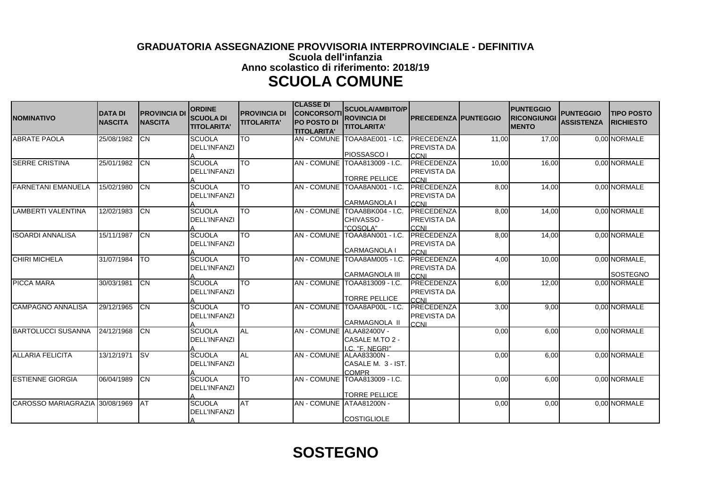## **GRADUATORIA ASSEGNAZIONE PROVVISORIA INTERPROVINCIALE - DEFINITIVA Scuola dell'infanzia Anno scolastico di riferimento: 2018/19 SCUOLA COMUNE**

| <b>NOMINATIVO</b>              | <b>DATA DI</b><br><b>NASCITA</b> | <b>PROVINCIA DI</b><br><b>NASCITA</b> | <b>ORDINE</b><br><b>SCUOLA DI</b><br><b>TITOLARITA'</b> | <b>PROVINCIA DI</b><br><b>TITOLARITA'</b> | <b>CLASSE DI</b><br><b>CONCORSO/TI</b><br><b>PO POSTO DI</b><br><b>TITOLARITA'</b> | <b>SCUOLA/AMBITO/P</b><br><b>ROVINCIA DI</b><br><b>TITOLARITA'</b> | <b>PRECEDENZA PUNTEGGIO</b>              |       | <b>IPUNTEGGIO</b><br><b>RICONGIUNGI</b><br><b>IMENTO</b> | <b>PUNTEGGIO</b><br><b>ASSISTENZA</b> | <b>ITIPO POSTO</b><br><b>IRICHIESTO</b> |
|--------------------------------|----------------------------------|---------------------------------------|---------------------------------------------------------|-------------------------------------------|------------------------------------------------------------------------------------|--------------------------------------------------------------------|------------------------------------------|-------|----------------------------------------------------------|---------------------------------------|-----------------------------------------|
| <b>ABRATE PAOLA</b>            | 25/08/1982                       | Iсм                                   | <b>SCUOLA</b><br><b>DELL'INFANZI</b>                    | <b>TO</b>                                 |                                                                                    | AN - COMUNE TOAA8AE001 - I.C.<br><b>PIOSSASCO I</b>                | PRECEDENZA<br>PREVISTA DA<br><b>CCNI</b> | 11,00 | 17,00                                                    |                                       | 0.00 NORMALE                            |
| <b>SERRE CRISTINA</b>          | 25/01/1982                       | ICN                                   | <b>SCUOLA</b><br><b>DELL'INFANZI</b>                    | <b>TO</b>                                 | <b>AN-COMUNE</b>                                                                   | TOAA813009 - I.C.<br><b>TORRE PELLICE</b>                          | PRECEDENZA<br>PREVISTA DA<br><b>CCNI</b> | 10,00 | 16,00                                                    |                                       | 0,00 NORMALE                            |
| <b>FARNETANI EMANUELA</b>      | 15/02/1980                       | Iсм                                   | <b>SCUOLA</b><br><b>DELL'INFANZI</b>                    | <b>TO</b>                                 | <b>AN-COMUNE</b>                                                                   | TOAA8AN001 - I.C.<br><b>CARMAGNOLA I</b>                           | PRECEDENZA<br>PREVISTA DA<br><b>CCNI</b> | 8,00  | 14,00                                                    |                                       | 0.00 NORMALE                            |
| LAMBERTI VALENTINA             | 12/02/1983                       | ICN                                   | <b>SCUOLA</b><br><b>DELL'INFANZI</b>                    | <b>TO</b>                                 | <b>AN-COMUNE</b>                                                                   | TOAA8BK004 - I.C.<br>CHIVASSO -<br>"COSOLA"                        | PRECEDENZA<br>PREVISTA DA<br>CCNI        | 8,00  | 14,00                                                    |                                       | 0.00 NORMALE                            |
| <b>ISOARDI ANNALISA</b>        | 15/11/1987                       | <b>ICN</b>                            | <b>SCUOLA</b><br><b>DELL'INFANZI</b>                    | ГO                                        |                                                                                    | AN - COMUNE TOAA8AN001 - I.C<br><b>CARMAGNOLA I</b>                | PRECEDENZA<br>PREVISTA DA<br>CCNI        | 8,00  | 14,00                                                    |                                       | 0.00 NORMALE                            |
| <b>CHIRI MICHELA</b>           | 31/07/1984                       | <b>TO</b>                             | <b>SCUOLA</b><br><b>DELL'INFANZI</b>                    | $\overline{10}$                           | AN - COMUNE                                                                        | TOAA8AM005 - I.C.<br><b>CARMAGNOLA III</b>                         | PRECEDENZA<br>PREVISTA DA<br>CCNI        | 4,00  | 10,00                                                    |                                       | 0,00 NORMALE,<br><b>ISOSTEGNO</b>       |
| <b>PICCA MARA</b>              | 30/03/1981                       | ICN                                   | <b>SCUOLA</b><br><b>DELL'INFANZI</b>                    | <b>TO</b>                                 | <b>AN-COMUNE</b>                                                                   | TOAA813009 - I.C.<br><b>TORRE PELLICE</b>                          | <b>PRECEDENZA</b><br>PREVISTA DA<br>CCNI | 6,00  | 12,00                                                    |                                       | 0.00 NORMALE                            |
| <b>CAMPAGNO ANNALISA</b>       | 29/12/1965                       | Iсм                                   | SCUOLA<br><b>DELL'INFANZI</b>                           | СT                                        | <b>AN-COMUNE</b>                                                                   | TOAA8AP00L - I.C.<br><b>CARMAGNOLA II</b>                          | PRECEDENZA<br>PREVISTA DA<br><b>CCNI</b> | 3,00  | 9,00                                                     |                                       | 0,00 NORMALE                            |
| <b>BARTOLUCCI SUSANNA</b>      | 24/12/1968                       | ICN                                   | <b>SCUOLA</b><br><b>DELL'INFANZI</b>                    | <b>AL</b>                                 | <b>AN-COMUNE</b>                                                                   | ALAA82400V -<br>CASALE M.TO 2 -<br>LC. "F. NEGRI"                  |                                          | 0,00  | 6,00                                                     |                                       | 0.00 NORMALE                            |
| <b>ALLARIA FELICITA</b>        | 13/12/1971                       | $\overline{\text{sv}}$                | <b>SCUOLA</b><br><b>DELL'INFANZI</b>                    | <b>AL</b>                                 | AN - COMUNE ALAA83300N -                                                           | CASALE M. 3 - IST.<br><b>COMPR</b>                                 |                                          | 0,00  | 6,00                                                     |                                       | 0,00 NORMALE                            |
| <b>ESTIENNE GIORGIA</b>        | 06/04/1989                       | ICN                                   | <b>SCUOLA</b><br><b>DELL'INFANZI</b>                    | <b>TO</b>                                 |                                                                                    | AN - COMUNE TOAA813009 - I.C.<br><b>TORRE PELLICE</b>              |                                          | 0,00  | 6,00                                                     |                                       | 0,00 NORMALE                            |
| CAROSSO MARIAGRAZIA 30/08/1969 |                                  | IAT                                   | <b>SCUOLA</b><br><b>DELL'INFANZI</b>                    | <b>AT</b>                                 | <b>AN - COMUNE</b>                                                                 | ATAA81200N -<br><b>COSTIGLIOLE</b>                                 |                                          | 0,00  | 0,00                                                     |                                       | 0,00 NORMALE                            |

## **SOSTEGNO**